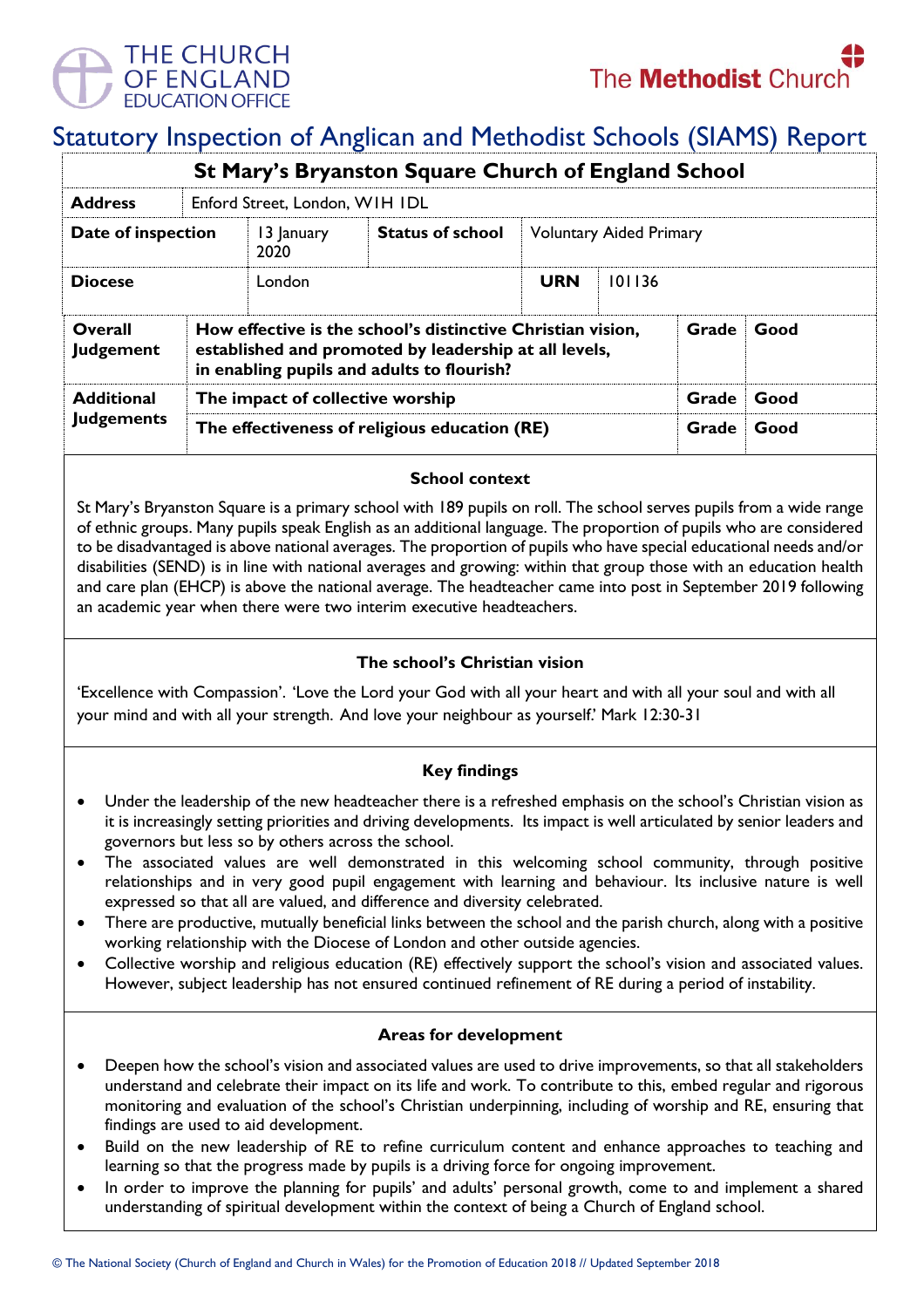

# Statutory Inspection of Anglican and Methodist Schools (SIAMS) Report

|                                    |                                               |                                                                                                                                                                                     | St Mary's Bryanston Square Church of England School |            |                                |       |      |  |
|------------------------------------|-----------------------------------------------|-------------------------------------------------------------------------------------------------------------------------------------------------------------------------------------|-----------------------------------------------------|------------|--------------------------------|-------|------|--|
| <b>Address</b>                     | Enford Street, London, WIH IDL                |                                                                                                                                                                                     |                                                     |            |                                |       |      |  |
| Date of inspection                 |                                               | 13 January<br>2020                                                                                                                                                                  | <b>Status of school</b>                             |            | <b>Voluntary Aided Primary</b> |       |      |  |
| <b>Diocese</b>                     |                                               | London                                                                                                                                                                              |                                                     | <b>URN</b> | 101136                         |       |      |  |
| <b>Overall</b><br><b>Judgement</b> |                                               | How effective is the school's distinctive Christian vision,<br>Grade<br>Good<br>established and promoted by leadership at all levels,<br>in enabling pupils and adults to flourish? |                                                     |            |                                |       |      |  |
| <b>Additional</b>                  | The impact of collective worship              |                                                                                                                                                                                     |                                                     |            |                                | Grade | Good |  |
| <b>Judgements</b>                  | The effectiveness of religious education (RE) |                                                                                                                                                                                     |                                                     |            | Grade                          | Good  |      |  |

## **School context**

St Mary's Bryanston Square is a primary school with 189 pupils on roll. The school serves pupils from a wide range of ethnic groups. Many pupils speak English as an additional language. The proportion of pupils who are considered to be disadvantaged is above national averages. The proportion of pupils who have special educational needs and/or disabilities (SEND) is in line with national averages and growing: within that group those with an education health and care plan (EHCP) is above the national average. The headteacher came into post in September 2019 following an academic year when there were two interim executive headteachers.

## **The school's Christian vision**

'Excellence with Compassion'. 'Love the Lord your God with all your heart and with all your soul and with all your mind and with all your strength. And love your neighbour as yourself.' Mark 12:30-31

## **Key findings**

- Under the leadership of the new headteacher there is a refreshed emphasis on the school's Christian vision as it is increasingly setting priorities and driving developments. Its impact is well articulated by senior leaders and governors but less so by others across the school.
- The associated values are well demonstrated in this welcoming school community, through positive relationships and in very good pupil engagement with learning and behaviour. Its inclusive nature is well expressed so that all are valued, and difference and diversity celebrated.
- There are productive, mutually beneficial links between the school and the parish church, along with a positive working relationship with the Diocese of London and other outside agencies.
- Collective worship and religious education (RE) effectively support the school's vision and associated values. However, subject leadership has not ensured continued refinement of RE during a period of instability.

## **Areas for development**

- Deepen how the school's vision and associated values are used to drive improvements, so that all stakeholders understand and celebrate their impact on its life and work. To contribute to this, embed regular and rigorous monitoring and evaluation of the school's Christian underpinning, including of worship and RE, ensuring that findings are used to aid development.
- Build on the new leadership of RE to refine curriculum content and enhance approaches to teaching and learning so that the progress made by pupils is a driving force for ongoing improvement.
- In order to improve the planning for pupils' and adults' personal growth, come to and implement a shared understanding of spiritual development within the context of being a Church of England school.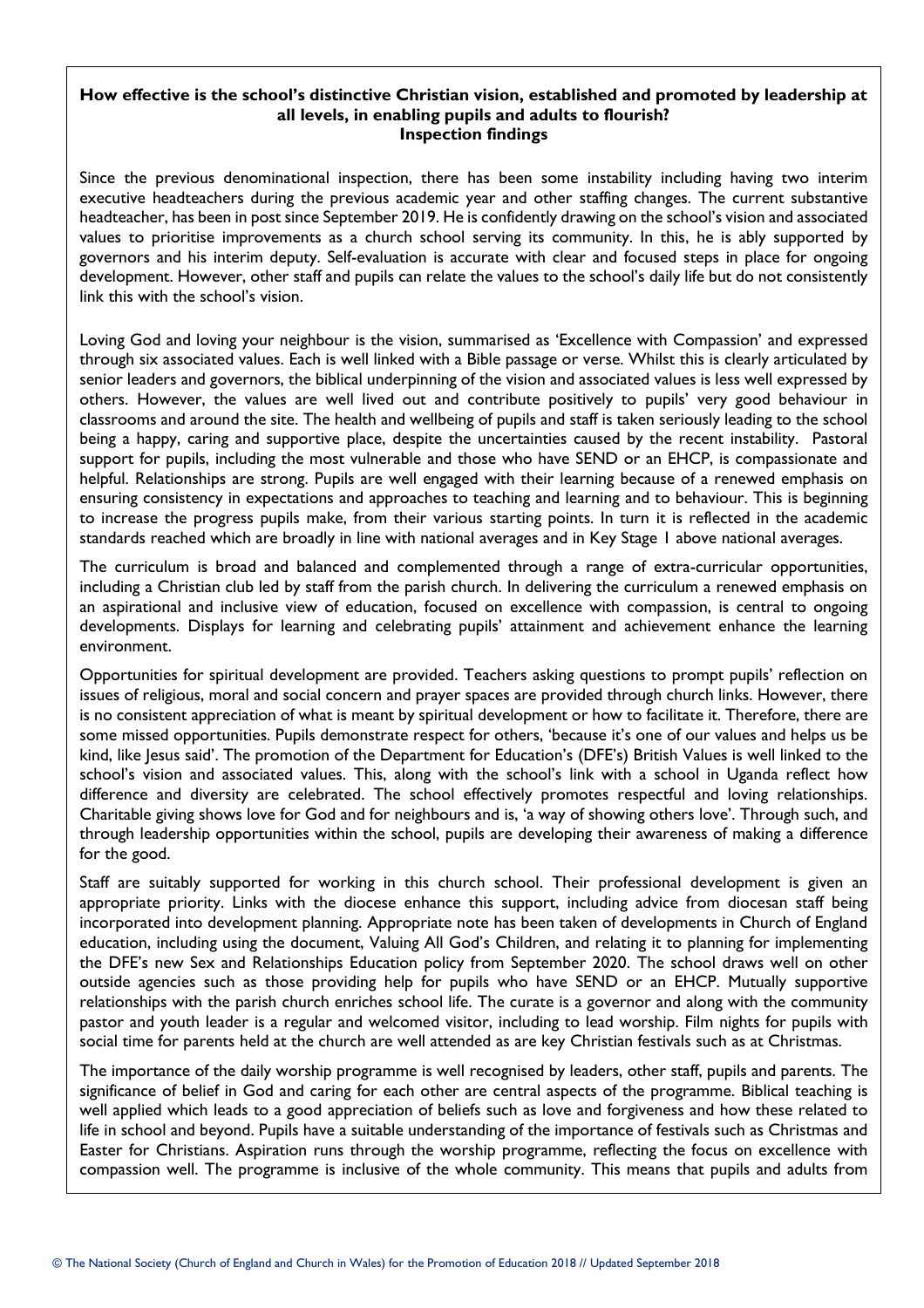#### **How effective is the school's distinctive Christian vision, established and promoted by leadership at all levels, in enabling pupils and adults to flourish? Inspection findings**

Since the previous denominational inspection, there has been some instability including having two interim executive headteachers during the previous academic year and other staffing changes. The current substantive headteacher, has been in post since September 2019. He is confidently drawing on the school's vision and associated values to prioritise improvements as a church school serving its community. In this, he is ably supported by governors and his interim deputy. Self-evaluation is accurate with clear and focused steps in place for ongoing development. However, other staff and pupils can relate the values to the school's daily life but do not consistently link this with the school's vision.

Loving God and loving your neighbour is the vision, summarised as 'Excellence with Compassion' and expressed through six associated values. Each is well linked with a Bible passage or verse. Whilst this is clearly articulated by senior leaders and governors, the biblical underpinning of the vision and associated values is less well expressed by others. However, the values are well lived out and contribute positively to pupils' very good behaviour in classrooms and around the site. The health and wellbeing of pupils and staff is taken seriously leading to the school being a happy, caring and supportive place, despite the uncertainties caused by the recent instability. Pastoral support for pupils, including the most vulnerable and those who have SEND or an EHCP, is compassionate and helpful. Relationships are strong. Pupils are well engaged with their learning because of a renewed emphasis on ensuring consistency in expectations and approaches to teaching and learning and to behaviour. This is beginning to increase the progress pupils make, from their various starting points. In turn it is reflected in the academic standards reached which are broadly in line with national averages and in Key Stage 1 above national averages.

The curriculum is broad and balanced and complemented through a range of extra-curricular opportunities, including a Christian club led by staff from the parish church. In delivering the curriculum a renewed emphasis on an aspirational and inclusive view of education, focused on excellence with compassion, is central to ongoing developments. Displays for learning and celebrating pupils' attainment and achievement enhance the learning environment.

Opportunities for spiritual development are provided. Teachers asking questions to prompt pupils' reflection on issues of religious, moral and social concern and prayer spaces are provided through church links. However, there is no consistent appreciation of what is meant by spiritual development or how to facilitate it. Therefore, there are some missed opportunities. Pupils demonstrate respect for others, 'because it's one of our values and helps us be kind, like Jesus said'. The promotion of the Department for Education's (DFE's) British Values is well linked to the school's vision and associated values. This, along with the school's link with a school in Uganda reflect how difference and diversity are celebrated. The school effectively promotes respectful and loving relationships. Charitable giving shows love for God and for neighbours and is, 'a way of showing others love'. Through such, and through leadership opportunities within the school, pupils are developing their awareness of making a difference for the good.

Staff are suitably supported for working in this church school. Their professional development is given an appropriate priority. Links with the diocese enhance this support, including advice from diocesan staff being incorporated into development planning. Appropriate note has been taken of developments in Church of England education, including using the document, Valuing All God's Children, and relating it to planning for implementing the DFE's new Sex and Relationships Education policy from September 2020. The school draws well on other outside agencies such as those providing help for pupils who have SEND or an EHCP. Mutually supportive relationships with the parish church enriches school life. The curate is a governor and along with the community pastor and youth leader is a regular and welcomed visitor, including to lead worship. Film nights for pupils with social time for parents held at the church are well attended as are key Christian festivals such as at Christmas.

The importance of the daily worship programme is well recognised by leaders, other staff, pupils and parents. The significance of belief in God and caring for each other are central aspects of the programme. Biblical teaching is well applied which leads to a good appreciation of beliefs such as love and forgiveness and how these related to life in school and beyond. Pupils have a suitable understanding of the importance of festivals such as Christmas and Easter for Christians. Aspiration runs through the worship programme, reflecting the focus on excellence with compassion well. The programme is inclusive of the whole community. This means that pupils and adults from